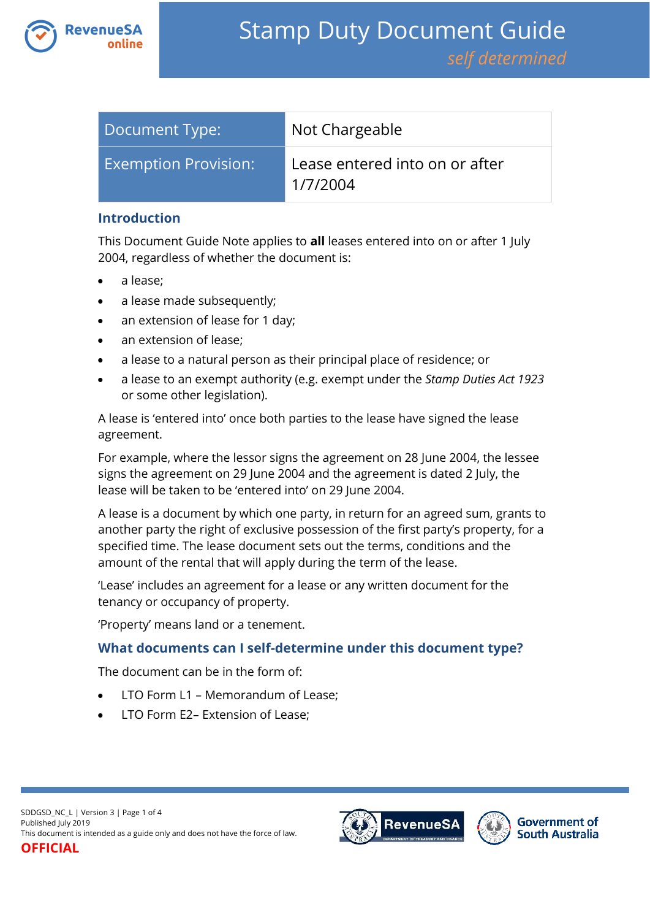

| Document Type:              | Not Chargeable                             |
|-----------------------------|--------------------------------------------|
| <b>Exemption Provision:</b> | Lease entered into on or after<br>1/7/2004 |

### **Introduction**

This Document Guide Note applies to **all** leases entered into on or after 1 July 2004, regardless of whether the document is:

- a lease;
- a lease made subsequently;
- an extension of lease for 1 day;
- an extension of lease;
- a lease to a natural person as their principal place of residence; or
- a lease to an exempt authority (e.g. exempt under the *Stamp Duties Act 1923* or some other legislation).

A lease is 'entered into' once both parties to the lease have signed the lease agreement.

For example, where the lessor signs the agreement on 28 June 2004, the lessee signs the agreement on 29 June 2004 and the agreement is dated 2 July, the lease will be taken to be 'entered into' on 29 June 2004.

A lease is a document by which one party, in return for an agreed sum, grants to another party the right of exclusive possession of the first party's property, for a specified time. The lease document sets out the terms, conditions and the amount of the rental that will apply during the term of the lease.

'Lease' includes an agreement for a lease or any written document for the tenancy or occupancy of property.

'Property' means land or a tenement.

## **What documents can I self-determine under this document type?**

The document can be in the form of:

- LTO Form L1 Memorandum of Lease;
- LTO Form E2– Extension of Lease;



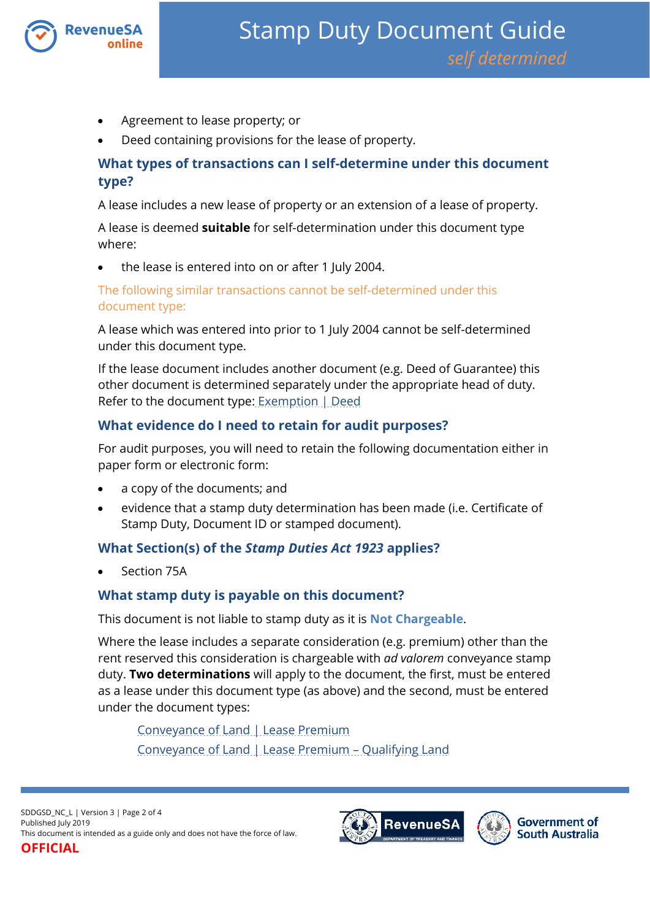

- Agreement to lease property; or
- Deed containing provisions for the lease of property.

# **What types of transactions can I self-determine under this document type?**

A lease includes a new lease of property or an extension of a lease of property.

A lease is deemed **suitable** for self-determination under this document type where:

the lease is entered into on or after 1 July 2004.

The following similar transactions cannot be self-determined under this document type:

A lease which was entered into prior to 1 July 2004 cannot be self-determined under this document type.

If the lease document includes another document (e.g. Deed of Guarantee) this other document is determined separately under the appropriate head of duty. Refer to the document type: [Exemption |](https://www.revenuesa.sa.gov.au/stampduty/stamp-duty-document-guide/self-determined/exemptions/sddgsd_ex_d) Deed

# **What evidence do I need to retain for audit purposes?**

For audit purposes, you will need to retain the following documentation either in paper form or electronic form:

- a copy of the documents; and
- evidence that a stamp duty determination has been made (i.e. Certificate of Stamp Duty, Document ID or stamped document).

# **What Section(s) of the** *Stamp Duties Act 1923* **applies?**

Section 75A

## **What stamp duty is payable on this document?**

This document is not liable to stamp duty as it is **Not Chargeable**.

Where the lease includes a separate consideration (e.g. premium) other than the rent reserved this consideration is chargeable with *ad valorem* conveyance stamp duty. **Two determinations** will apply to the document, the first, must be entered as a lease under this document type (as above) and the second, must be entered under the document types:

[Conveyance of Land | Lease Premium](https://www.revenuesa.sa.gov.au/stampduty/stamp-duty-document-guide/self-determined/conveyance-of-land/sddgsd_cl_lp_rpp) [Conveyance of Land | Lease Premium](https://www.revenuesa.sa.gov.au/stampduty/stamp-duty-document-guide/self-determined/conveyance-of-land/sddgsd_cl_lp_ql) – Qualifying Land



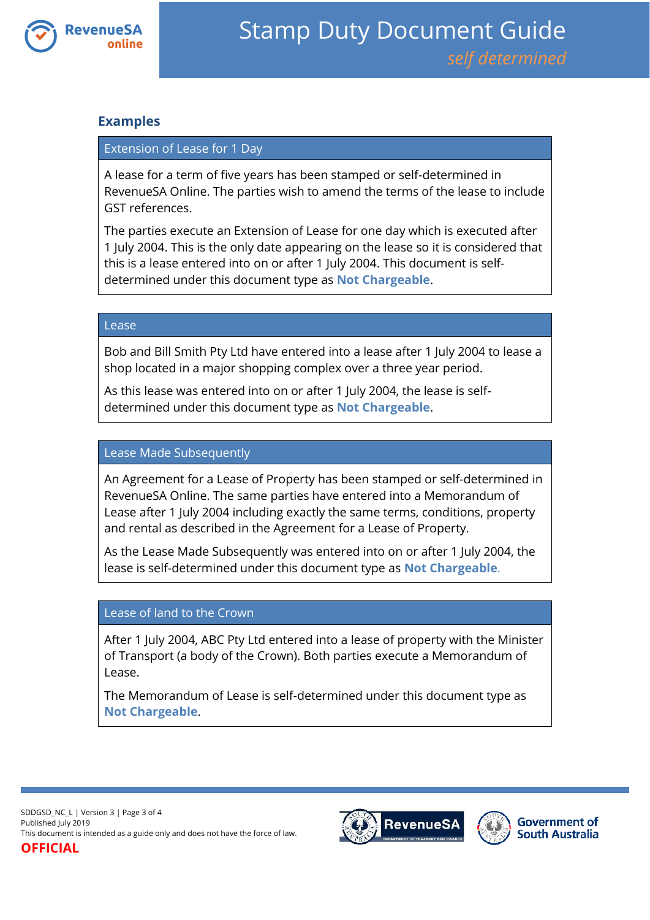

### **Examples**

### Extension of Lease for 1 Day

A lease for a term of five years has been stamped or self-determined in RevenueSA Online. The parties wish to amend the terms of the lease to include GST references.

The parties execute an Extension of Lease for one day which is executed after 1 July 2004. This is the only date appearing on the lease so it is considered that this is a lease entered into on or after 1 July 2004. This document is selfdetermined under this document type as **Not Chargeable**.

#### Lease

Bob and Bill Smith Pty Ltd have entered into a lease after 1 July 2004 to lease a shop located in a major shopping complex over a three year period.

As this lease was entered into on or after 1 July 2004, the lease is selfdetermined under this document type as **Not Chargeable**.

### Lease Made Subsequently

An Agreement for a Lease of Property has been stamped or self-determined in RevenueSA Online. The same parties have entered into a Memorandum of Lease after 1 July 2004 including exactly the same terms, conditions, property and rental as described in the Agreement for a Lease of Property.

As the Lease Made Subsequently was entered into on or after 1 July 2004, the lease is self-determined under this document type as **Not Chargeable**.

#### Lease of land to the Crown

After 1 July 2004, ABC Pty Ltd entered into a lease of property with the Minister of Transport (a body of the Crown). Both parties execute a Memorandum of Lease.

The Memorandum of Lease is self-determined under this document type as **Not Chargeable**.